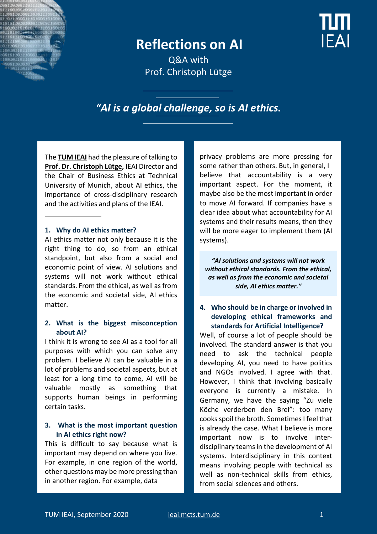

# **Reflections on AI**

Q&A with Prof. Christoph Lütge

# *"AI is a global challenge, so is AI ethics.*

The **[TUM IEAI](https://ieai.mcts.tum.de/)** had the pleasure of talking to **[Prof. Dr. Christoph Lütge,](https://ieai.mcts.tum.de/about-ieai/people/prof-christoph-luetge/)** IEAI Director and the Chair of Business Ethics at Technical University of Munich, about AI ethics, the importance of cross-disciplinary research and the activities and plans of the IEAI.

#### **1. Why do AI ethics matter?**

AI ethics matter not only because it is the right thing to do, so from an ethical standpoint, but also from a social and economic point of view. AI solutions and systems will not work without ethical standards. From the ethical, as well as from the economic and societal side, AI ethics matter.

#### **2. What is the biggest misconception about AI?**

I think it is wrong to see AI as a tool for all purposes with which you can solve any problem. I believe AI can be valuable in a lot of problems and societal aspects, but at least for a long time to come, AI will be valuable mostly as something that supports human beings in performing certain tasks.

### **3. What is the most important question in AI ethics right now?**

This is difficult to say because what is important may depend on where you live. For example, in one region of the world, other questions may be more pressing than in another region. For example, data

privacy problems are more pressing for some rather than others. But, in general, I believe that accountability is a very important aspect. For the moment, it maybe also be the most important in order to move AI forward. If companies have a clear idea about what accountability for AI systems and their results means, then they will be more eager to implement them (AI systems).

*"AI solutions and systems will not work without ethical standards. From the ethical, as well as from the economic and societal side, AI ethics matter."*

## **4. Who should be in charge or involved in developing ethical frameworks and standards for Artificial Intelligence?**

Well, of course a lot of people should be involved. The standard answer is that you need to ask the technical people developing AI, you need to have politics and NGOs involved. I agree with that. However, I think that involving basically everyone is currently a mistake. In Germany, we have the saying "Zu viele Köche verderben den Brei": too many cooks spoil the broth. Sometimes I feel that is already the case. What I believe is more important now is to involve interdisciplinary teams in the development of AI systems. Interdisciplinary in this context means involving people with technical as well as non-technical skills from ethics, from social sciences and others.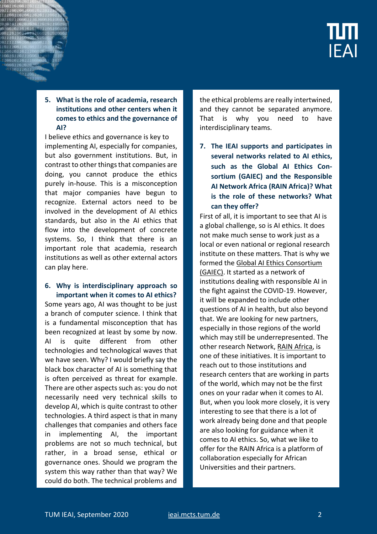# **5. What is the role of academia, research institutions and other centers when it comes to ethics and the governance of AI?**

I believe ethics and governance is key to implementing AI, especially for companies, but also government institutions. But, in contrast to other things that companies are doing, you cannot produce the ethics purely in-house. This is a misconception that major companies have begun to recognize. External actors need to be involved in the development of AI ethics standards, but also in the AI ethics that flow into the development of concrete systems. So, I think that there is an important role that academia, research institutions as well as other external actors can play here.

#### **6. Why is interdisciplinary approach so important when it comes to AI ethics?**

Some years ago, AI was thought to be just a branch of computer science. I think that is a fundamental misconception that has been recognized at least by some by now. AI is quite different from other technologies and technological waves that we have seen. Why? I would briefly say the black box character of AI is something that is often perceived as threat for example. There are other aspects such as: you do not necessarily need very technical skills to develop AI, which is quite contrast to other technologies. A third aspect is that in many challenges that companies and others face in implementing AI, the important problems are not so much technical, but rather, in a broad sense, ethical or governance ones. Should we program the system this way rather than that way? We could do both. The technical problems and

the ethical problems are really intertwined, and they cannot be separated anymore. That is why you need to have interdisciplinary teams.

**7. The IEAI supports and participates in several networks related to AI ethics, such as the Global AI Ethics Consortium (GAIEC) and the Responsible AI Network Africa (RAIN Africa)? What is the role of these networks? What can they offer?** 

First of all, it is important to see that AI is a global challenge, so is AI ethics. It does not make much sense to work just as a local or even national or regional research institute on these matters. That is why we formed the [Global AI Ethics Consortium](https://ieai.mcts.tum.de/global-ai-ethics-consortium/)  [\(GAIEC\).](https://ieai.mcts.tum.de/global-ai-ethics-consortium/) It started as a network of institutions dealing with responsible AI in the fight against the COVID-19. However, it will be expanded to include other questions of AI in health, but also beyond that. We are looking for new partners, especially in those regions of the world which may still be underrepresented. The other research Network[, RAIN Africa,](https://rainafrica.org/) is one of these initiatives. It is important to reach out to those institutions and research centers that are working in parts of the world, which may not be the first ones on your radar when it comes to AI. But, when you look more closely, it is very interesting to see that there is a lot of work already being done and that people are also looking for guidance when it comes to AI ethics. So, what we like to offer for the RAIN Africa is a platform of collaboration especially for African Universities and their partners.